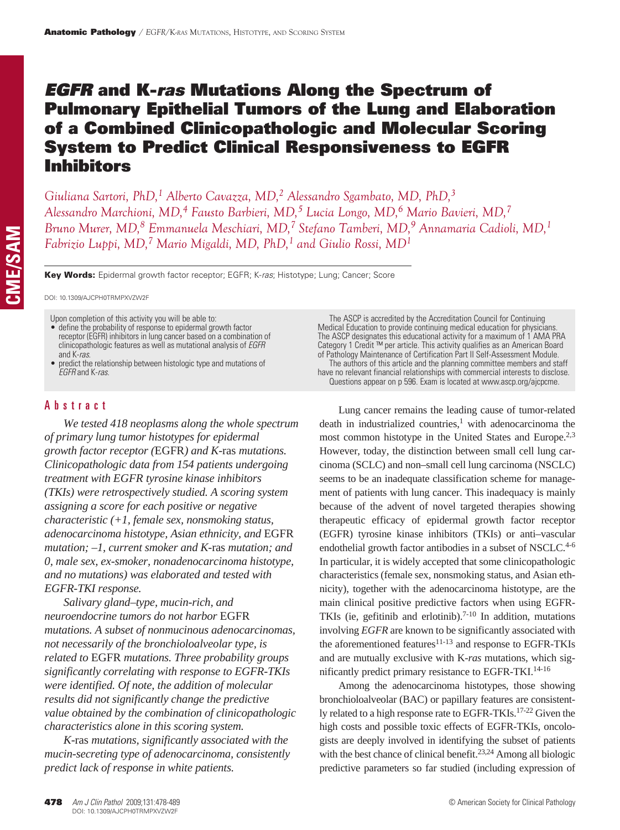# *EGFR* and K-*ras* Mutations Along the Spectrum of Pulmonary Epithelial Tumors of the Lung and Elaboration of a Combined Clinicopathologic and Molecular Scoring System to Predict Clinical Responsiveness to EGFR Inhibitors

*Giuliana Sartori, PhD,1 Alberto Cavazza, MD,2 Alessandro Sgambato, MD, PhD,3 Alessandro Marchioni, MD,4 Fausto Barbieri, MD,5 Lucia Longo, MD,6 Mario Bavieri, MD,7 Bruno Murer, MD,8 Emmanuela Meschiari, MD,7 Stefano Tamberi, MD,9 Annamaria Cadioli, MD,1 Fabrizio Luppi, MD,7 Mario Migaldi, MD, PhD,1 and Giulio Rossi, MD1*

Key Words: Epidermal growth factor receptor; EGFR; K-*ras*; Histotype; Lung; Cancer; Score

DOI: 10.1309/AJCPH0TRMPXVZW2F

Upon completion of this activity you will be able to:

- • define the probability of response to epidermal growth factor receptor (EGFR) inhibitors in lung cancer based on a combination of clinicopathologic features as well as mutational analysis of *EGFR*
- predict the relationship between histologic type and mutations of *EGFR* and K-*ras*.

# Abstract

*We tested 418 neoplasms along the whole spectrum of primary lung tumor histotypes for epidermal growth factor receptor (*EGFR*) and K*-ras *mutations. Clinicopathologic data from 154 patients undergoing treatment with EGFR tyrosine kinase inhibitors (TKIs) were retrospectively studied. A scoring system assigning a score for each positive or negative characteristic (+1, female sex, nonsmoking status, adenocarcinoma histotype, Asian ethnicity, and* EGFR *mutation; –1, current smoker and K-*ras *mutation; and 0, male sex, ex-smoker, nonadenocarcinoma histotype, and no mutations) was elaborated and tested with EGFR-TKI response.*

*Salivary gland–type, mucin-rich, and neuroendocrine tumors do not harbor* EGFR *mutations. A subset of nonmucinous adenocarcinomas, not necessarily of the bronchioloalveolar type, is related to* EGFR *mutations. Three probability groups significantly correlating with response to EGFR-TKIs were identified. Of note, the addition of molecular results did not significantly change the predictive value obtained by the combination of clinicopathologic characteristics alone in this scoring system.*

*K-*ras *mutations, significantly associated with the mucin-secreting type of adenocarcinoma, consistently predict lack of response in white patients.*

The ASCP is accredited by the Accreditation Council for Continuing Medical Education to provide continuing medical education for physicians. The ASCP designates this educational activity for a maximum of 1 AMA PRA Category 1 Credit ™ per article. This activity qualifies as an American Board of Pathology Maintenance of Certification Part II Self-Assessment Module. The authors of this article and the planning committee members and staff have no relevant financial relationships with commercial interests to disclose. Questions appear on p 596. Exam is located at www.ascp.org/ajcpcme.

Lung cancer remains the leading cause of tumor-related death in industrialized countries, $<sup>1</sup>$  with adenocarcinoma the</sup> most common histotype in the United States and Europe.<sup>2,3</sup> However, today, the distinction between small cell lung carcinoma (SCLC) and non–small cell lung carcinoma (NSCLC) seems to be an inadequate classification scheme for management of patients with lung cancer. This inadequacy is mainly because of the advent of novel targeted therapies showing therapeutic efficacy of epidermal growth factor receptor (EGFR) tyrosine kinase inhibitors (TKIs) or anti–vascular endothelial growth factor antibodies in a subset of NSCLC.<sup>4-6</sup> In particular, it is widely accepted that some clinicopathologic characteristics (female sex, nonsmoking status, and Asian ethnicity), together with the adenocarcinoma histotype, are the main clinical positive predictive factors when using EGFR-TKIs (ie, gefitinib and erlotinib).<sup>7-10</sup> In addition, mutations involving *EGFR* are known to be significantly associated with the aforementioned features $11-13$  and response to EGFR-TKIs and are mutually exclusive with K-*ras* mutations, which significantly predict primary resistance to EGFR-TKI.14-16

Among the adenocarcinoma histotypes, those showing bronchioloalveolar (BAC) or papillary features are consistently related to a high response rate to EGFR-TKIs.<sup>17-22</sup> Given the high costs and possible toxic effects of EGFR-TKIs, oncologists are deeply involved in identifying the subset of patients with the best chance of clinical benefit.<sup>23,24</sup> Among all biologic predictive parameters so far studied (including expression of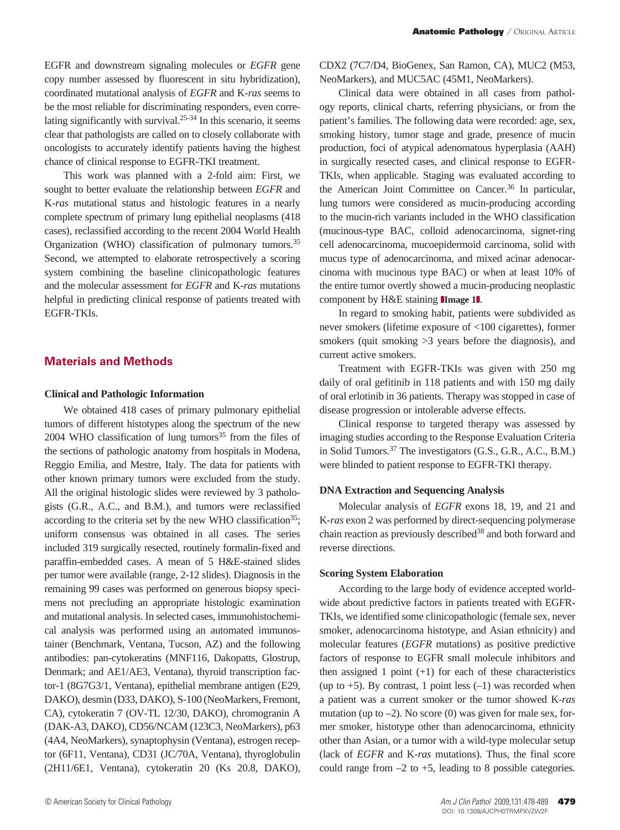EGFR and downstream signaling molecules or *EGFR* gene copy number assessed by fluorescent in situ hybridization), coordinated mutational analysis of *EGFR* and K-*ras* seems to be the most reliable for discriminating responders, even correlating significantly with survival. $25-34$  In this scenario, it seems clear that pathologists are called on to closely collaborate with oncologists to accurately identify patients having the highest chance of clinical response to EGFR-TKI treatment.

This work was planned with a 2-fold aim: First, we sought to better evaluate the relationship between *EGFR* and K-*ras* mutational status and histologic features in a nearly complete spectrum of primary lung epithelial neoplasms (418 cases), reclassified according to the recent 2004 World Health Organization (WHO) classification of pulmonary tumors.<sup>35</sup> Second, we attempted to elaborate retrospectively a scoring system combining the baseline clinicopathologic features and the molecular assessment for *EGFR* and K-*ras* mutations helpful in predicting clinical response of patients treated with EGFR-TKIs.

# **Materials and Methods**

### **Clinical and Pathologic Information**

We obtained 418 cases of primary pulmonary epithelial tumors of different histotypes along the spectrum of the new  $2004$  WHO classification of lung tumors<sup>35</sup> from the files of the sections of pathologic anatomy from hospitals in Modena, Reggio Emilia, and Mestre, Italy. The data for patients with other known primary tumors were excluded from the study. All the original histologic slides were reviewed by 3 pathologists (G.R., A.C., and B.M.), and tumors were reclassified according to the criteria set by the new WHO classification<sup>35</sup>; uniform consensus was obtained in all cases. The series included 319 surgically resected, routinely formalin-fixed and paraffin-embedded cases. A mean of 5 H&E-stained slides per tumor were available (range, 2-12 slides). Diagnosis in the remaining 99 cases was performed on generous biopsy specimens not precluding an appropriate histologic examination and mutational analysis. In selected cases, immunohistochemical analysis was performed using an automated immunostainer (Benchmark, Ventana, Tucson, AZ) and the following antibodies: pan-cytokeratins (MNF116, Dakopatts, Glostrup, Denmark; and AE1/AE3, Ventana), thyroid transcription factor-1 (8G7G3/1, Ventana), epithelial membrane antigen (E29, DAKO), desmin (D33, DAKO), S-100 (NeoMarkers, Fremont, CA), cytokeratin 7 (OV-TL 12/30, DAKO), chromogranin A (DAK-A3, DAKO), CD56/NCAM (123C3, NeoMarkers), p63 (4A4, NeoMarkers), synaptophysin (Ventana), estrogen receptor (6F11, Ventana), CD31 (JC/70A, Ventana), thyroglobulin (2H11/6E1, Ventana), cytokeratin 20 (Ks 20.8, DAKO),

CDX2 (7C7/D4, BioGenex, San Ramon, CA), MUC2 (M53, NeoMarkers), and MUC5AC (45M1, NeoMarkers).

Clinical data were obtained in all cases from pathology reports, clinical charts, referring physicians, or from the patient's families. The following data were recorded: age, sex, smoking history, tumor stage and grade, presence of mucin production, foci of atypical adenomatous hyperplasia (AAH) in surgically resected cases, and clinical response to EGFR-TKIs, when applicable. Staging was evaluated according to the American Joint Committee on Cancer.36 In particular, lung tumors were considered as mucin-producing according to the mucin-rich variants included in the WHO classification (mucinous-type BAC, colloid adenocarcinoma, signet-ring cell adenocarcinoma, mucoepidermoid carcinoma, solid with mucus type of adenocarcinoma, and mixed acinar adenocarcinoma with mucinous type BAC) or when at least 10% of the entire tumor overtly showed a mucin-producing neoplastic component by H&E staining **IImage 1**.

In regard to smoking habit, patients were subdivided as never smokers (lifetime exposure of <100 cigarettes), former smokers (quit smoking  $>3$  years before the diagnosis), and current active smokers.

Treatment with EGFR-TKIs was given with 250 mg daily of oral gefitinib in 118 patients and with 150 mg daily of oral erlotinib in 36 patients. Therapy was stopped in case of disease progression or intolerable adverse effects.

Clinical response to targeted therapy was assessed by imaging studies according to the Response Evaluation Criteria in Solid Tumors.37 The investigators (G.S., G.R., A.C., B.M.) were blinded to patient response to EGFR-TKI therapy.

### **DNA Extraction and Sequencing Analysis**

Molecular analysis of *EGFR* exons 18, 19, and 21 and K-*ras* exon 2 was performed by direct-sequencing polymerase chain reaction as previously described<sup>38</sup> and both forward and reverse directions.

#### **Scoring System Elaboration**

According to the large body of evidence accepted worldwide about predictive factors in patients treated with EGFR-TKIs, we identified some clinicopathologic (female sex, never smoker, adenocarcinoma histotype, and Asian ethnicity) and molecular features (*EGFR* mutations) as positive predictive factors of response to EGFR small molecule inhibitors and then assigned 1 point  $(+1)$  for each of these characteristics (up to  $+5$ ). By contrast, 1 point less  $(-1)$  was recorded when a patient was a current smoker or the tumor showed K-*ras* mutation (up to  $-2$ ). No score (0) was given for male sex, former smoker, histotype other than adenocarcinoma, ethnicity other than Asian, or a tumor with a wild-type molecular setup (lack of *EGFR* and K-*ras* mutations). Thus, the final score could range from  $-2$  to  $+5$ , leading to 8 possible categories.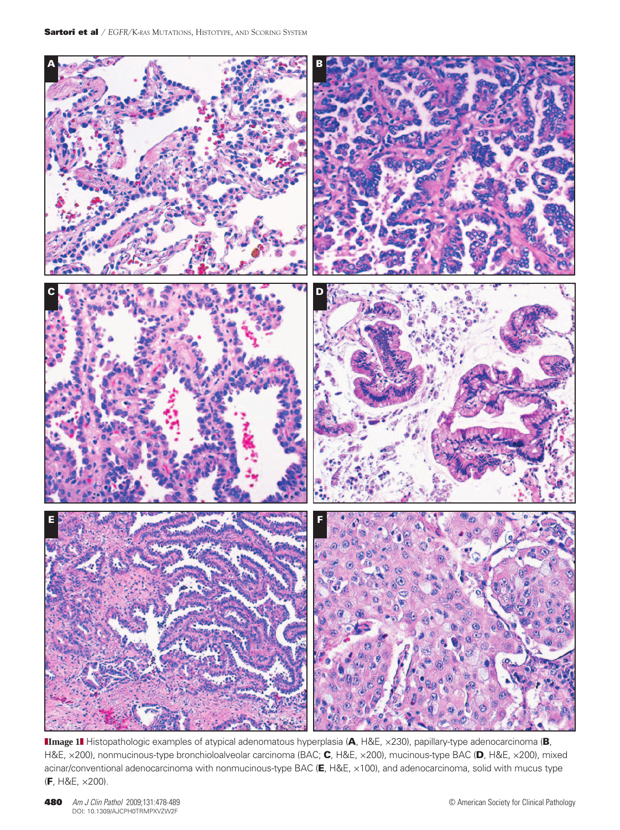

**IImage 1** Histopathologic examples of atypical adenomatous hyperplasia (A, H&E, ×230), papillary-type adenocarcinoma (B, H&E, ×200), nonmucinous-type bronchioloalveolar carcinoma (BAC; C, H&E, ×200), mucinous-type BAC (D, H&E, ×200), mixed acinar/conventional adenocarcinoma with nonmucinous-type BAC (E, H&E, ×100), and adenocarcinoma, solid with mucus type (F, H&E, ×200).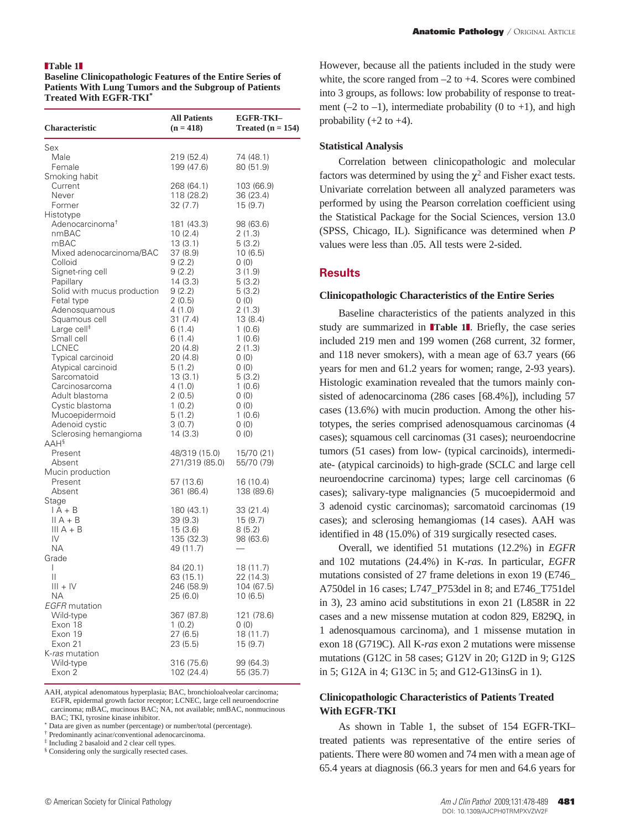#### **Table 1**

**Baseline Clinicopathologic Features of the Entire Series of Patients With Lung Tumors and the Subgroup of Patients Treated With EGFR-TKI\***

| <b>Characteristic</b>                                                                                                                                                                                                                                                                                                                                                                                                                                                | <b>All Patients</b><br>$(n = 418)$                                                                                                                                                                                                                  | <b>EGFR-TKI-</b><br>Treated $(n = 154)$                                                                                                                                                                                  |
|----------------------------------------------------------------------------------------------------------------------------------------------------------------------------------------------------------------------------------------------------------------------------------------------------------------------------------------------------------------------------------------------------------------------------------------------------------------------|-----------------------------------------------------------------------------------------------------------------------------------------------------------------------------------------------------------------------------------------------------|--------------------------------------------------------------------------------------------------------------------------------------------------------------------------------------------------------------------------|
| Sex<br>Male<br>Female<br>Smoking habit                                                                                                                                                                                                                                                                                                                                                                                                                               | 219 (52.4)<br>199 (47.6)                                                                                                                                                                                                                            | 74 (48.1)<br>80 (51.9)                                                                                                                                                                                                   |
| Current<br>Never<br>Former                                                                                                                                                                                                                                                                                                                                                                                                                                           | 268 (64.1)<br>118 (28.2)<br>32 (7.7)                                                                                                                                                                                                                | 103 (66.9)<br>36 (23.4)<br>15(9.7)                                                                                                                                                                                       |
| Histotype<br>Adenocarcinoma <sup>+</sup><br>nmBAC<br>mBAC<br>Mixed adenocarcinoma/BAC<br>Colloid<br>Signet-ring cell<br>Papillary<br>Solid with mucus production<br>Fetal type<br>Adenosquamous<br>Squamous cell<br>Large cell <sup>#</sup><br>Small cell<br>LCNEC<br>Typical carcinoid<br>Atypical carcinoid<br>Sarcomatoid<br>Carcinosarcoma<br>Adult blastoma<br>Cystic blastoma<br>Mucoepidermoid<br>Adenoid cystic<br>Sclerosing hemangioma<br>AAH <sup>§</sup> | 181 (43.3)<br>10(2.4)<br>13(3.1)<br>37 (8.9)<br>9(2.2)<br>9(2.2)<br>14 (3.3)<br>9(2.2)<br>2(0.5)<br>4(1.0)<br>31(7.4)<br>6(1.4)<br>6(1.4)<br>20 (4.8)<br>20 (4.8)<br>5(1.2)<br>13(3.1)<br>4(1.0)<br>2(0.5)<br>1(0.2)<br>5(1.2)<br>3(0.7)<br>14(3.3) | 98 (63.6)<br>2(1.3)<br>5(3.2)<br>10(6.5)<br>0(0)<br>3(1.9)<br>5(3.2)<br>5(3.2)<br>0(0)<br>2(1.3)<br>13 (8.4)<br>1(0.6)<br>1(0.6)<br>2(1.3)<br>0(0)<br>0(0)<br>5(3.2)<br>1(0.6)<br>0(0)<br>0(0)<br>1(0.6)<br>0(0)<br>0(0) |
| Present<br>Absent                                                                                                                                                                                                                                                                                                                                                                                                                                                    | 48/319 (15.0)<br>271/319 (85.0)                                                                                                                                                                                                                     | 15/70 (21)<br>55/70 (79)                                                                                                                                                                                                 |
| Mucin production<br>Present<br>Absent                                                                                                                                                                                                                                                                                                                                                                                                                                | 57 (13.6)<br>361 (86.4)                                                                                                                                                                                                                             | 16 (10.4)<br>138 (89.6)                                                                                                                                                                                                  |
| Stage<br>$IA + B$<br>$II A + B$<br>$III A + B$<br>IV<br><b>NA</b><br>Grade                                                                                                                                                                                                                                                                                                                                                                                           | 180 (43.1)<br>39(9.3)<br>15(3.6)<br>135 (32.3)<br>49 (11.7)                                                                                                                                                                                         | 33 (21.4)<br>15(9.7)<br>8(5.2)<br>98 (63.6)                                                                                                                                                                              |
| T<br>Ш<br>$III + IV$<br>NА                                                                                                                                                                                                                                                                                                                                                                                                                                           | 84 (20.1)<br>63 (15.1)<br>246 (58.9)<br>25 (6.0)                                                                                                                                                                                                    | 18 (11.7)<br>22 (14.3)<br>104 (67.5)<br>10 (6.5)                                                                                                                                                                         |
| <b>EGFR</b> mutation<br>Wild-type<br>Exon 18<br>Exon 19<br>Exon 21                                                                                                                                                                                                                                                                                                                                                                                                   | 367 (87.8)<br>1(0.2)<br>27(6.5)<br>23 (5.5)                                                                                                                                                                                                         | 121 (78.6)<br>(0)<br>18 (11.7)<br>15 (9.7)                                                                                                                                                                               |
| K- <i>ras</i> mutation<br>Wild-type<br>Exon 2                                                                                                                                                                                                                                                                                                                                                                                                                        | 316 (75.6)<br>102(24.4)                                                                                                                                                                                                                             | 99 (64.3)<br>55 (35.7)                                                                                                                                                                                                   |

AAH, atypical adenomatous hyperplasia; BAC, bronchioloalveolar carcinoma; EGFR, epidermal growth factor receptor; LCNEC, large cell neuroendocrine carcinoma; mBAC, mucinous BAC; NA, not available; nmBAC, nonmucinous BAC; TKI, tyrosine kinase inhibitor.

\* Data are given as number (percentage) or number/total (percentage).

† Predominantly acinar/conventional adenocarcinoma.

‡ Including 2 basaloid and 2 clear cell types.

§ Considering only the surgically resected cases.

However, because all the patients included in the study were white, the score ranged from –2 to +4. Scores were combined into 3 groups, as follows: low probability of response to treatment  $(-2 \text{ to } -1)$ , intermediate probability  $(0 \text{ to } +1)$ , and high probability  $(+2 \text{ to } +4)$ .

### **Statistical Analysis**

Correlation between clinicopathologic and molecular factors was determined by using the  $\chi^2$  and Fisher exact tests. Univariate correlation between all analyzed parameters was performed by using the Pearson correlation coefficient using the Statistical Package for the Social Sciences, version 13.0 (SPSS, Chicago, IL). Significance was determined when *P*  values were less than .05. All tests were 2-sided.

### **Results**

#### **Clinicopathologic Characteristics of the Entire Series**

Baseline characteristics of the patients analyzed in this study are summarized in **Table 1**. Briefly, the case series included 219 men and 199 women (268 current, 32 former, and 118 never smokers), with a mean age of 63.7 years (66 years for men and 61.2 years for women; range, 2-93 years). Histologic examination revealed that the tumors mainly consisted of adenocarcinoma (286 cases [68.4%]), including 57 cases (13.6%) with mucin production. Among the other histotypes, the series comprised adenosquamous carcinomas (4 cases); squamous cell carcinomas (31 cases); neuroendocrine tumors (51 cases) from low- (typical carcinoids), intermediate- (atypical carcinoids) to high-grade (SCLC and large cell neuroendocrine carcinoma) types; large cell carcinomas (6 cases); salivary-type malignancies (5 mucoepidermoid and 3 adenoid cystic carcinomas); sarcomatoid carcinomas (19 cases); and sclerosing hemangiomas (14 cases). AAH was identified in 48 (15.0%) of 319 surgically resected cases.

Overall, we identified 51 mutations (12.2%) in *EGFR*  and 102 mutations (24.4%) in K-*ras*. In particular, *EGFR* mutations consisted of 27 frame deletions in exon 19 (E746\_ A750del in 16 cases; L747\_P753del in 8; and E746\_T751del in 3), 23 amino acid substitutions in exon 21 (L858R in 22 cases and a new missense mutation at codon 829, E829Q, in 1 adenosquamous carcinoma), and 1 missense mutation in exon 18 (G719C). All K-*ras* exon 2 mutations were missense mutations (G12C in 58 cases; G12V in 20; G12D in 9; G12S in 5; G12A in 4; G13C in 5; and G12-G13insG in 1).

# **Clinicopathologic Characteristics of Patients Treated With EGFR-TKI**

As shown in Table 1, the subset of 154 EGFR-TKI– treated patients was representative of the entire series of patients. There were 80 women and 74 men with a mean age of 65.4 years at diagnosis (66.3 years for men and 64.6 years for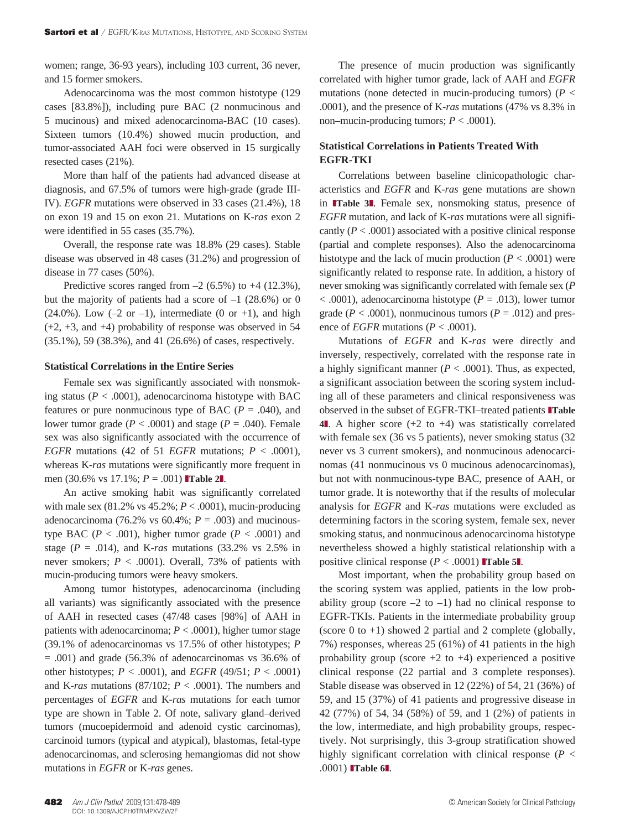women; range, 36-93 years), including 103 current, 36 never, and 15 former smokers.

Adenocarcinoma was the most common histotype (129 cases [83.8%]), including pure BAC (2 nonmucinous and 5 mucinous) and mixed adenocarcinoma-BAC (10 cases). Sixteen tumors (10.4%) showed mucin production, and tumor-associated AAH foci were observed in 15 surgically resected cases (21%).

More than half of the patients had advanced disease at diagnosis, and 67.5% of tumors were high-grade (grade III-IV). *EGFR* mutations were observed in 33 cases (21.4%), 18 on exon 19 and 15 on exon 21. Mutations on K-*ras* exon 2 were identified in 55 cases (35.7%).

Overall, the response rate was 18.8% (29 cases). Stable disease was observed in 48 cases (31.2%) and progression of disease in 77 cases (50%).

Predictive scores ranged from  $-2$  (6.5%) to  $+4$  (12.3%), but the majority of patients had a score of  $-1$  (28.6%) or 0  $(24.0\%)$ . Low  $(-2 \text{ or } -1)$ , intermediate  $(0 \text{ or } +1)$ , and high (+2, +3, and +4) probability of response was observed in 54 (35.1%), 59 (38.3%), and 41 (26.6%) of cases, respectively.

### **Statistical Correlations in the Entire Series**

Female sex was significantly associated with nonsmoking status ( $P < .0001$ ), adenocarcinoma histotype with BAC features or pure nonmucinous type of BAC ( $P = .040$ ), and lower tumor grade  $(P < .0001)$  and stage  $(P = .040)$ . Female sex was also significantly associated with the occurrence of *EGFR* mutations (42 of 51 *EGFR* mutations;  $P < .0001$ ), whereas K-*ras* mutations were significantly more frequent in men (30.6% vs 17.1%;  $P = .001$ ) Table 2.

An active smoking habit was significantly correlated with male sex (81.2% vs 45.2%; *P* < .0001), mucin-producing adenocarcinoma (76.2% vs  $60.4\%$ ;  $P = .003$ ) and mucinoustype BAC ( $P < .001$ ), higher tumor grade ( $P < .0001$ ) and stage ( $P = .014$ ), and K-ras mutations (33.2% vs 2.5% in never smokers;  $P < .0001$ ). Overall, 73% of patients with mucin-producing tumors were heavy smokers.

Among tumor histotypes, adenocarcinoma (including all variants) was significantly associated with the presence of AAH in resected cases (47/48 cases [98%] of AAH in patients with adenocarcinoma;  $P < .0001$ ), higher tumor stage (39.1% of adenocarcinomas vs 17.5% of other histotypes; *P*   $= .001$ ) and grade (56.3% of adenocarcinomas vs 36.6% of other histotypes; *P* < .0001), and *EGFR* (49/51; *P* < .0001) and K-*ras* mutations (87/102;  $P < .0001$ ). The numbers and percentages of *EGFR* and K-*ras* mutations for each tumor type are shown in Table 2. Of note, salivary gland–derived tumors (mucoepidermoid and adenoid cystic carcinomas), carcinoid tumors (typical and atypical), blastomas, fetal-type adenocarcinomas, and sclerosing hemangiomas did not show mutations in *EGFR* or K-*ras* genes.

The presence of mucin production was significantly correlated with higher tumor grade, lack of AAH and *EGFR* mutations (none detected in mucin-producing tumors) (*P* < .0001), and the presence of K-*ras* mutations (47% vs 8.3% in non–mucin-producing tumors;  $P < .0001$ ).

# **Statistical Correlations in Patients Treated With EGFR-TKI**

Correlations between baseline clinicopathologic characteristics and *EGFR* and K-*ras* gene mutations are shown in **Table 3**. Female sex, nonsmoking status, presence of *EGFR* mutation, and lack of K-*ras* mutations were all significantly  $(P < .0001)$  associated with a positive clinical response (partial and complete responses). Also the adenocarcinoma histotype and the lack of mucin production  $(P < .0001)$  were significantly related to response rate. In addition, a history of never smoking was significantly correlated with female sex (*P*  < .0001), adenocarcinoma histotype (*P* = .013), lower tumor grade ( $P < .0001$ ), nonmucinous tumors ( $P = .012$ ) and presence of *EGFR* mutations ( $P < .0001$ ).

Mutations of *EGFR* and K-*ras* were directly and inversely, respectively, correlated with the response rate in a highly significant manner  $(P < .0001)$ . Thus, as expected, a significant association between the scoring system including all of these parameters and clinical responsiveness was observed in the subset of EGFR-TKI–treated patients **Table 4**z. A higher score (+2 to +4) was statistically correlated with female sex (36 vs 5 patients), never smoking status (32 never vs 3 current smokers), and nonmucinous adenocarcinomas (41 nonmucinous vs 0 mucinous adenocarcinomas), but not with nonmucinous-type BAC, presence of AAH, or tumor grade. It is noteworthy that if the results of molecular analysis for *EGFR* and K-*ras* mutations were excluded as determining factors in the scoring system, female sex, never smoking status, and nonmucinous adenocarcinoma histotype nevertheless showed a highly statistical relationship with a positive clinical response  $(P < .0001)$  **Table 5L**.

Most important, when the probability group based on the scoring system was applied, patients in the low probability group (score  $-2$  to  $-1$ ) had no clinical response to EGFR-TKIs. Patients in the intermediate probability group (score 0 to  $+1$ ) showed 2 partial and 2 complete (globally, 7%) responses, whereas 25 (61%) of 41 patients in the high probability group (score  $+2$  to  $+4$ ) experienced a positive clinical response (22 partial and 3 complete responses). Stable disease was observed in 12 (22%) of 54, 21 (36%) of 59, and 15 (37%) of 41 patients and progressive disease in 42 (77%) of 54, 34 (58%) of 59, and 1 (2%) of patients in the low, intermediate, and high probability groups, respectively. Not surprisingly, this 3-group stratification showed highly significant correlation with clinical response (*P* < .0001) **Table 61.**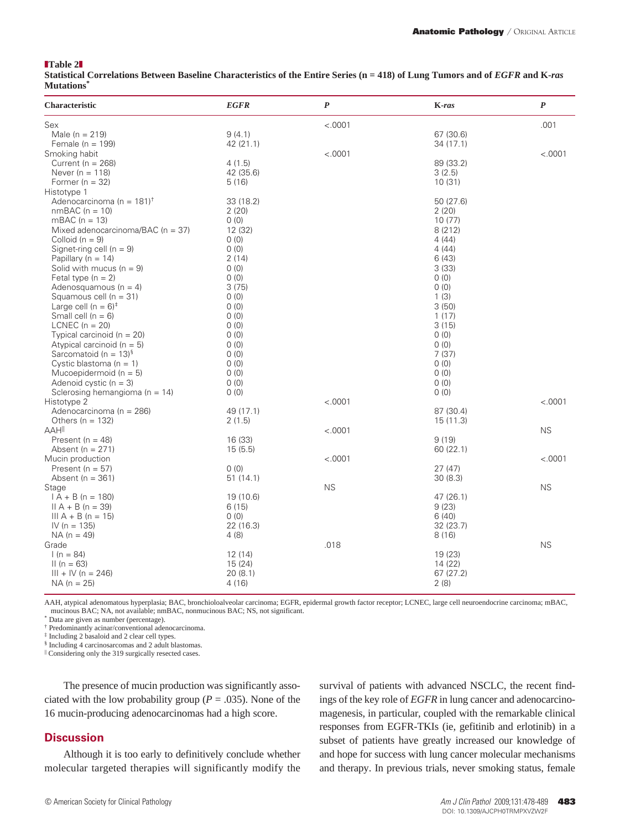#### **Table 2**

**Statistical Correlations Between Baseline Characteristics of the Entire Series (n = 418) of Lung Tumors and of** *EGFR* **and K-***ras* **Mutations\***

| Characteristic                           | <b>EGFR</b> | $\boldsymbol{P}$ | K-ras     | $\pmb{P}$ |
|------------------------------------------|-------------|------------------|-----------|-----------|
| Sex                                      |             | < .0001          |           | .001      |
| Male ( $n = 219$ )                       | 9(4.1)      |                  | 67 (30.6) |           |
| Female ( $n = 199$ )                     | 42 (21.1)   |                  | 34 (17.1) |           |
| Smoking habit                            |             | < .0001          |           | < .0001   |
| Current ( $n = 268$ )                    | 4(1.5)      |                  | 89 (33.2) |           |
| Never ( $n = 118$ )                      | 42 (35.6)   |                  | 3(2.5)    |           |
| Former ( $n = 32$ )                      | 5(16)       |                  | 10(31)    |           |
| Histotype 1                              |             |                  |           |           |
| Adenocarcinoma (n = $181$ ) <sup>†</sup> | 33 (18.2)   |                  | 50 (27.6) |           |
| $nmBAC (n = 10)$                         | 2(20)       |                  | 2(20)     |           |
| mBAC $(n = 13)$                          | 0(0)        |                  | 10(77)    |           |
| Mixed adenocarcinoma/BAC (n = 37)        | 12 (32)     |                  | 8(212)    |           |
| Colloid $(n = 9)$                        | 0(0)        |                  | 4(44)     |           |
| Signet-ring cell ( $n = 9$ )             | 0(0)        |                  | 4(44)     |           |
| Papillary ( $n = 14$ )                   | 2(14)       |                  | 6(43)     |           |
| Solid with mucus ( $n = 9$ )             | (0)         |                  | 3(33)     |           |
| Fetal type $(n = 2)$                     | 0(0)        |                  | 0(0)      |           |
| Adenosquamous ( $n = 4$ )                | 3(75)       |                  | 0(0)      |           |
| Squamous cell $(n = 31)$                 | 0(0)        |                  | 1(3)      |           |
| Large cell $(n = 6)^+$                   | 0(0)        |                  | 3(50)     |           |
| Small cell $(n = 6)$                     | 0(0)        |                  | 1(17)     |           |
| LCNEC $(n = 20)$                         | 0(0)        |                  | 3(15)     |           |
| Typical carcinoid ( $n = 20$ )           | 0(0)        |                  | (0)       |           |
| Atypical carcinoid ( $n = 5$ )           | 0(0)        |                  | 0(0)      |           |
| Sarcomatoid (n = $13$ ) <sup>§</sup>     | 0(0)        |                  | 7(37)     |           |
| Cystic blastoma ( $n = 1$ )              | 0(0)        |                  | 0(0)      |           |
| Mucoepidermoid ( $n = 5$ )               | 0(0)        |                  | 0(0)      |           |
| Adenoid cystic $(n = 3)$                 | 0(0)        |                  | 0(0)      |           |
| Sclerosing hemangioma ( $n = 14$ )       | 0(0)        |                  | 0(0)      |           |
| Histotype 2                              |             | < .0001          |           | < .0001   |
| Adenocarcinoma (n = 286)                 | 49 (17.1)   |                  | 87 (30.4) |           |
| Others ( $n = 132$ )                     | 2(1.5)      |                  | 15(11.3)  |           |
| AAHI                                     |             | < .0001          |           | <b>NS</b> |
| Present ( $n = 48$ )                     | 16 (33)     |                  | 9(19)     |           |
| Absent ( $n = 271$ )                     | 15(5.5)     |                  | 60 (22.1) |           |
| Mucin production                         |             | < .0001          |           | < .0001   |
| Present ( $n = 57$ )                     | 0(0)        |                  | 27(47)    |           |
| Absent ( $n = 361$ )                     | 51(14.1)    |                  | 30(8.3)   |           |
| Stage                                    |             | <b>NS</b>        |           | <b>NS</b> |
| $IA + B (n = 180)$                       | 19 (10.6)   |                  | 47 (26.1) |           |
| $II A + B (n = 39)$                      | 6(15)       |                  | 9(23)     |           |
| III $A + B$ (n = 15)                     | (0)         |                  | 6(40)     |           |
| $IV (n = 135)$                           | 22 (16.3)   |                  | 32 (23.7) |           |
| $NA (n = 49)$                            | 4(8)        |                  | 8(16)     |           |
| Grade                                    |             | .018             |           | <b>NS</b> |
| $1(n = 84)$                              | 12(14)      |                  | 19 (23)   |           |
| $II(n = 63)$                             | 15(24)      |                  | 14 (22)   |           |
| $III + IV (n = 246)$                     | 20(8.1)     |                  | 67(27.2)  |           |
| $NA (n = 25)$                            | 4(16)       |                  | 2(8)      |           |

AAH, atypical adenomatous hyperplasia; BAC, bronchioloalveolar carcinoma; EGFR, epidermal growth factor receptor; LCNEC, large cell neuroendocrine carcinoma; mBAC, mucinous BAC; NA, not available; nmBAC, nonmucinous BAC; NS, not significant.

Data are given as number (percentage).

† Predominantly acinar/conventional adenocarcinoma.

‡ Including 2 basaloid and 2 clear cell types.

§ Including 4 carcinosarcomas and 2 adult blastomas.

| Considering only the 319 surgically resected cases.

The presence of mucin production was significantly associated with the low probability group ( $P = .035$ ). None of the 16 mucin-producing adenocarcinomas had a high score.

# **Discussion**

Although it is too early to definitively conclude whether molecular targeted therapies will significantly modify the

survival of patients with advanced NSCLC, the recent findings of the key role of *EGFR* in lung cancer and adenocarcinomagenesis, in particular, coupled with the remarkable clinical responses from EGFR-TKIs (ie, gefitinib and erlotinib) in a subset of patients have greatly increased our knowledge of and hope for success with lung cancer molecular mechanisms and therapy. In previous trials, never smoking status, female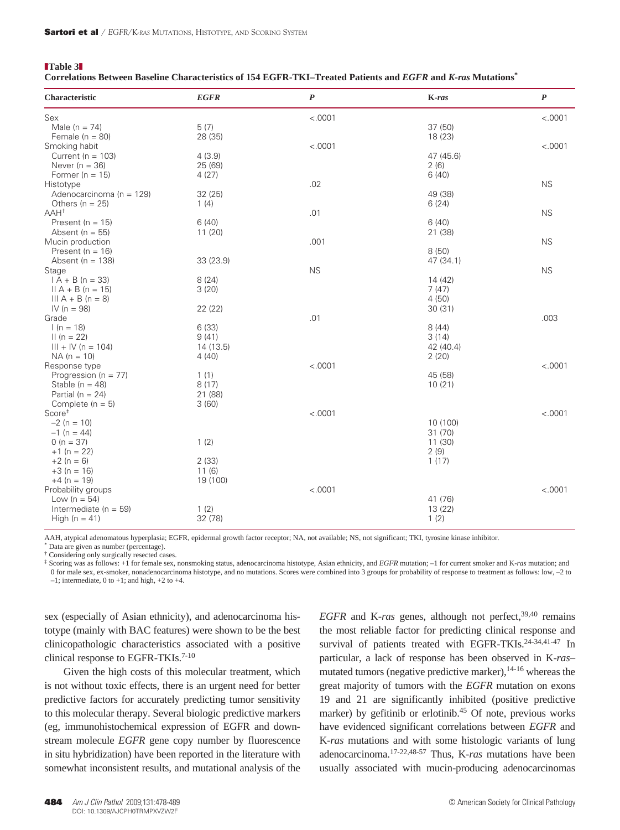# **Table 3 Correlations Between Baseline Characteristics of 154 EGFR-TKI–Treated Patients and** *EGFR* **and** *K-ras* **Mutations\***

| Characteristic                        | <b>EGFR</b>        | $\boldsymbol{P}$ | K-ras              | $\boldsymbol{P}$ |
|---------------------------------------|--------------------|------------------|--------------------|------------------|
| Sex                                   |                    | < .0001          |                    | < .0001          |
| Male $(n = 74)$                       | 5(7)               |                  | 37(50)             |                  |
| Female ( $n = 80$ )                   | 28 (35)            |                  | 18 (23)            |                  |
| Smoking habit                         |                    | < .0001          |                    | < .0001          |
| Current ( $n = 103$ )                 | 4(3.9)             |                  | 47 (45.6)          |                  |
| Never $(n = 36)$                      | 25 (69)            |                  | 2(6)               |                  |
| Former ( $n = 15$ )                   | 4(27)              |                  | 6(40)              |                  |
| Histotype                             |                    | .02              |                    | <b>NS</b>        |
| Adenocarcinoma (n = 129)              | 32(25)             |                  | 49 (38)            |                  |
| Others $(n = 25)$                     | 1(4)               |                  | 6(24)              |                  |
| $AAH^{\dagger}$                       |                    | .01              |                    | <b>NS</b>        |
| Present ( $n = 15$ )                  | 6(40)              |                  | 6(40)              |                  |
| Absent ( $n = 55$ )                   | 11(20)             |                  | 21 (38)            |                  |
| Mucin production                      |                    | .001             |                    | <b>NS</b>        |
| Present ( $n = 16$ )                  |                    |                  | 8(50)              |                  |
| Absent ( $n = 138$ )                  | 33 (23.9)          |                  | 47 (34.1)          |                  |
| Stage                                 |                    | <b>NS</b>        |                    | <b>NS</b>        |
| $IA + B (n = 33)$                     | 8(24)              |                  | 14(42)             |                  |
| $II A + B (n = 15)$                   | 3(20)              |                  | 7(47)              |                  |
| $III A + B (n = 8)$                   |                    |                  | 4(50)              |                  |
| IV ( $n = 98$ )                       | 22 (22)            |                  | 30(31)             |                  |
| Grade                                 |                    | .01              |                    | .003             |
| $1(n = 18)$                           | 6(33)              |                  | 8(44)              |                  |
| $II(n = 22)$                          | 9(41)              |                  | 3(14)              |                  |
| $III + IV (n = 104)$<br>$NA (n = 10)$ | 14 (13.5)<br>4(40) |                  | 42 (40.4)<br>2(20) |                  |
| Response type                         |                    | < .0001          |                    | < .0001          |
| Progression ( $n = 77$ )              | 1(1)               |                  | 45 (58)            |                  |
| Stable ( $n = 48$ )                   | 8(17)              |                  | 10(21)             |                  |
| Partial ( $n = 24$ )                  | 21 (88)            |                  |                    |                  |
| Complete $(n = 5)$                    | 3(60)              |                  |                    |                  |
| Score <sup>#</sup>                    |                    | < .0001          |                    | < .0001          |
| $-2 (n = 10)$                         |                    |                  | 10 (100)           |                  |
| $-1 (n = 44)$                         |                    |                  | 31 (70)            |                  |
| $0 (n = 37)$                          | 1(2)               |                  | 11 (30)            |                  |
| $+1$ (n = 22)                         |                    |                  | 2(9)               |                  |
| $+2 (n = 6)$                          | 2(33)              |                  | 1(17)              |                  |
| $+3$ (n = 16)                         | 11(6)              |                  |                    |                  |
| $+4$ (n = 19)                         | 19 (100)           |                  |                    |                  |
| Probability groups                    |                    | < .0001          |                    | < .0001          |
| Low ( $n = 54$ )                      |                    |                  | 41 (76)            |                  |
| Intermediate ( $n = 59$ )             | 1(2)               |                  | 13 (22)            |                  |
| High ( $n = 41$ )                     | 32 (78)            |                  | 1(2)               |                  |
|                                       |                    |                  |                    |                  |

AAH, atypical adenomatous hyperplasia; EGFR, epidermal growth factor receptor; NA, not available; NS, not significant; TKI, tyrosine kinase inhibitor.

Data are given as number (percentage).

† Considering only surgically resected cases.

‡ Scoring was as follows: +1 for female sex, nonsmoking status, adenocarcinoma histotype, Asian ethnicity, and *EGFR* mutation; –1 for current smoker and K-*ras* mutation; and 0 for male sex, ex-smoker, nonadenocarcinoma histotype, and no mutations. Scores were combined into 3 groups for probability of response to treatment as follows: low, –2 to

 $-1$ ; intermediate, 0 to  $+1$ ; and high,  $+2$  to  $+4$ .

sex (especially of Asian ethnicity), and adenocarcinoma histotype (mainly with BAC features) were shown to be the best clinicopathologic characteristics associated with a positive clinical response to EGFR-TKIs.<sup>7-10</sup>

Given the high costs of this molecular treatment, which is not without toxic effects, there is an urgent need for better predictive factors for accurately predicting tumor sensitivity to this molecular therapy. Several biologic predictive markers (eg, immunohistochemical expression of EGFR and downstream molecule *EGFR* gene copy number by fluorescence in situ hybridization) have been reported in the literature with somewhat inconsistent results, and mutational analysis of the

*EGFR* and K-*ras* genes, although not perfect,<sup>39,40</sup> remains the most reliable factor for predicting clinical response and survival of patients treated with EGFR-TKIs.<sup>24-34,41-47</sup> In particular, a lack of response has been observed in K-*ras*– mutated tumors (negative predictive marker),  $14-16$  whereas the great majority of tumors with the *EGFR* mutation on exons 19 and 21 are significantly inhibited (positive predictive marker) by gefitinib or erlotinib.45 Of note, previous works have evidenced significant correlations between *EGFR* and K-*ras* mutations and with some histologic variants of lung adenocarcinoma.17-22,48-57 Thus, K-*ras* mutations have been usually associated with mucin-producing adenocarcinomas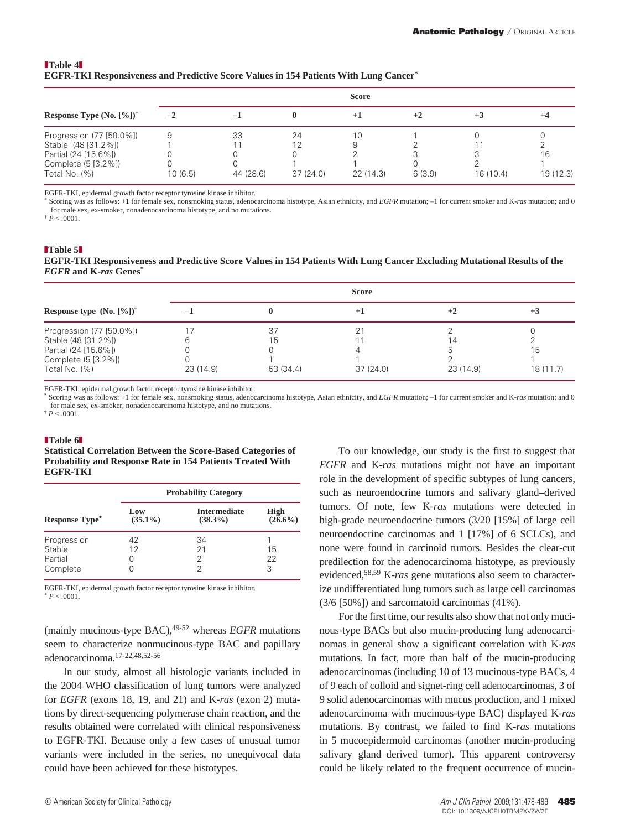## **Table 4 EGFR-TKI Responsiveness and Predictive Score Values in 154 Patients With Lung Cancer\***

|                                             |         |           |          | <b>Score</b> |        |          |           |
|---------------------------------------------|---------|-----------|----------|--------------|--------|----------|-----------|
| Response Type $(No. [%)]$ <sup>†</sup>      | $-2$    | $-1$      |          | $+1$         | $+2$   | $+3$     | $+4$      |
| Progression (77 [50.0%])                    |         | 33        | 24       | 10           |        |          |           |
| Stable (48 [31.2%])<br>Partial (24 [15.6%]) |         |           | 12       |              |        |          | 16        |
| Complete (5 [3.2%])<br>Total No. $(%)$      | 10(6.5) | 44 (28.6) | 37(24.0) | 22(14.3)     | 6(3.9) | 16(10.4) | 19 (12.3) |

EGFR-TKI, epidermal growth factor receptor tyrosine kinase inhibitor.

\* Scoring was as follows: +1 for female sex, nonsmoking status, adenocarcinoma histotype, Asian ethnicity, and *EGFR* mutation; –1 for current smoker and K-*ras* mutation; and 0 for male sex, ex-smoker, nonadenocarcinoma histotype, and no mutations.

 $\dagger P < .0001$ .

#### **Table 5 EGFR-TKI Responsiveness and Predictive Score Values in 154 Patients With Lung Cancer Excluding Mutational Results of the**  *EGFR* **and K***-ras* **Genes\***

|                                                            | <b>Score</b> |           |          |                |          |
|------------------------------------------------------------|--------------|-----------|----------|----------------|----------|
| Response type $(N_0, \lceil \sqrt[6]{0} \rceil)^{\dagger}$ | $-1$         |           | $+1$     | $+2$           | $+3$     |
| Progression (77 [50.0%])                                   |              | 37        | 21       |                |          |
| Stable (48 [31.2%])                                        |              | 15        |          | $\overline{4}$ |          |
| Partial (24 [15.6%])                                       |              |           |          |                | 15       |
| Complete (5 [3.2%])                                        |              |           |          |                |          |
| Total No. (%)                                              | 23(14.9)     | 53 (34.4) | 37(24.0) | 23 (14.9)      | 18(11.7) |

EGFR-TKI, epidermal growth factor receptor tyrosine kinase inhibitor.

\* Scoring was as follows: +1 for female sex, nonsmoking status, adenocarcinoma histotype, Asian ethnicity, and *EGFR* mutation; –1 for current smoker and K-*ras* mutation; and 0 for male sex, ex-smoker, nonadenocarcinoma histotype, and no mutations.

 $p^+ P < 0.0001$ .

#### **Table 6**

**Statistical Correlation Between the Score-Based Categories of Probability and Response Rate in 154 Patients Treated With EGFR-TKI**

|                                              | <b>Probability Category</b> |                                   |                           |  |  |
|----------------------------------------------|-----------------------------|-----------------------------------|---------------------------|--|--|
| <b>Response Type<sup>*</sup></b>             | Low<br>$(35.1\%)$           | <b>Intermediate</b><br>$(38.3\%)$ | <b>High</b><br>$(26.6\%)$ |  |  |
| Progression<br>Stable<br>Partial<br>Complete | 42<br>12                    | 34<br>21<br>2                     | 15<br>22<br>3             |  |  |

EGFR-TKI, epidermal growth factor receptor tyrosine kinase inhibitor.  $*$   $P < .0001$ .

(mainly mucinous-type BAC),49-52 whereas *EGFR* mutations seem to characterize nonmucinous-type BAC and papillary adenocarcinoma.17-22,48,52-56

In our study, almost all histologic variants included in the 2004 WHO classification of lung tumors were analyzed for *EGFR* (exons 18, 19, and 21) and K-*ras* (exon 2) mutations by direct-sequencing polymerase chain reaction, and the results obtained were correlated with clinical responsiveness to EGFR-TKI. Because only a few cases of unusual tumor variants were included in the series, no unequivocal data could have been achieved for these histotypes.

To our knowledge, our study is the first to suggest that *EGFR* and K-*ras* mutations might not have an important role in the development of specific subtypes of lung cancers, such as neuroendocrine tumors and salivary gland–derived tumors. Of note, few K-*ras* mutations were detected in high-grade neuroendocrine tumors (3/20 [15%] of large cell neuroendocrine carcinomas and 1 [17%] of 6 SCLCs), and none were found in carcinoid tumors. Besides the clear-cut predilection for the adenocarcinoma histotype, as previously evidenced,58,59 K-*ras* gene mutations also seem to characterize undifferentiated lung tumors such as large cell carcinomas (3/6 [50%]) and sarcomatoid carcinomas (41%).

For the first time, our results also show that not only mucinous-type BACs but also mucin-producing lung adenocarcinomas in general show a significant correlation with K-*ras* mutations. In fact, more than half of the mucin-producing adenocarcinomas (including 10 of 13 mucinous-type BACs, 4 of 9 each of colloid and signet-ring cell adenocarcinomas, 3 of 9 solid adenocarcinomas with mucus production, and 1 mixed adenocarcinoma with mucinous-type BAC) displayed K-*ras* mutations. By contrast, we failed to find K-*ras* mutations in 5 mucoepidermoid carcinomas (another mucin-producing salivary gland–derived tumor). This apparent controversy could be likely related to the frequent occurrence of mucin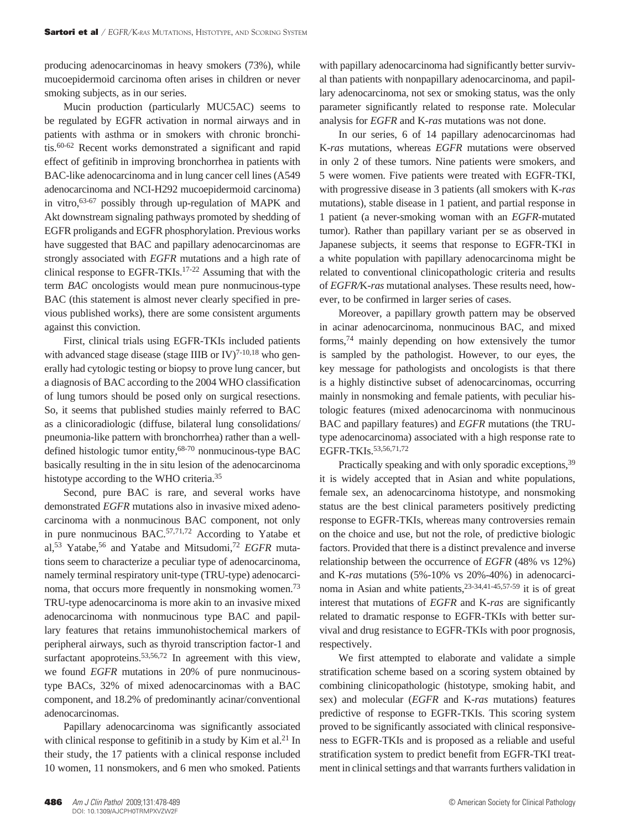producing adenocarcinomas in heavy smokers (73%), while mucoepidermoid carcinoma often arises in children or never smoking subjects, as in our series.

Mucin production (particularly MUC5AC) seems to be regulated by EGFR activation in normal airways and in patients with asthma or in smokers with chronic bronchitis.60-62 Recent works demonstrated a significant and rapid effect of gefitinib in improving bronchorrhea in patients with BAC-like adenocarcinoma and in lung cancer cell lines (A549 adenocarcinoma and NCI-H292 mucoepidermoid carcinoma) in vitro,63-67 possibly through up-regulation of MAPK and Akt downstream signaling pathways promoted by shedding of EGFR proligands and EGFR phosphorylation. Previous works have suggested that BAC and papillary adenocarcinomas are strongly associated with *EGFR* mutations and a high rate of clinical response to EGFR-TKIs.17-22 Assuming that with the term *BAC* oncologists would mean pure nonmucinous-type BAC (this statement is almost never clearly specified in previous published works), there are some consistent arguments against this conviction.

First, clinical trials using EGFR-TKIs included patients with advanced stage disease (stage IIIB or IV)<sup>7-10,18</sup> who generally had cytologic testing or biopsy to prove lung cancer, but a diagnosis of BAC according to the 2004 WHO classification of lung tumors should be posed only on surgical resections. So, it seems that published studies mainly referred to BAC as a clinicoradiologic (diffuse, bilateral lung consolidations/ pneumonia-like pattern with bronchorrhea) rather than a welldefined histologic tumor entity,68-70 nonmucinous-type BAC basically resulting in the in situ lesion of the adenocarcinoma histotype according to the WHO criteria.35

Second, pure BAC is rare, and several works have demonstrated *EGFR* mutations also in invasive mixed adenocarcinoma with a nonmucinous BAC component, not only in pure nonmucinous  $BAC$ <sup>57,71,72</sup> According to Yatabe et al,53 Yatabe,56 and Yatabe and Mitsudomi,72 *EGFR* mutations seem to characterize a peculiar type of adenocarcinoma, namely terminal respiratory unit-type (TRU-type) adenocarcinoma, that occurs more frequently in nonsmoking women.<sup>73</sup> TRU-type adenocarcinoma is more akin to an invasive mixed adenocarcinoma with nonmucinous type BAC and papillary features that retains immunohistochemical markers of peripheral airways, such as thyroid transcription factor-1 and surfactant apoproteins.<sup>53,56,72</sup> In agreement with this view, we found *EGFR* mutations in 20% of pure nonmucinoustype BACs, 32% of mixed adenocarcinomas with a BAC component, and 18.2% of predominantly acinar/conventional adenocarcinomas.

Papillary adenocarcinoma was significantly associated with clinical response to gefitinib in a study by Kim et al.<sup>21</sup> In their study, the 17 patients with a clinical response included 10 women, 11 nonsmokers, and 6 men who smoked. Patients with papillary adenocarcinoma had significantly better survival than patients with nonpapillary adenocarcinoma, and papillary adenocarcinoma, not sex or smoking status, was the only parameter significantly related to response rate. Molecular analysis for *EGFR* and K-*ras* mutations was not done.

In our series, 6 of 14 papillary adenocarcinomas had K-*ras* mutations, whereas *EGFR* mutations were observed in only 2 of these tumors. Nine patients were smokers, and 5 were women. Five patients were treated with EGFR-TKI, with progressive disease in 3 patients (all smokers with K-*ras* mutations), stable disease in 1 patient, and partial response in 1 patient (a never-smoking woman with an *EGFR*-mutated tumor). Rather than papillary variant per se as observed in Japanese subjects, it seems that response to EGFR-TKI in a white population with papillary adenocarcinoma might be related to conventional clinicopathologic criteria and results of *EGFR/*K-*ras* mutational analyses. These results need, however, to be confirmed in larger series of cases.

Moreover, a papillary growth pattern may be observed in acinar adenocarcinoma, nonmucinous BAC, and mixed forms,74 mainly depending on how extensively the tumor is sampled by the pathologist. However, to our eyes, the key message for pathologists and oncologists is that there is a highly distinctive subset of adenocarcinomas, occurring mainly in nonsmoking and female patients, with peculiar histologic features (mixed adenocarcinoma with nonmucinous BAC and papillary features) and *EGFR* mutations (the TRUtype adenocarcinoma) associated with a high response rate to EGFR-TKIs.53,56,71,72

Practically speaking and with only sporadic exceptions, <sup>39</sup> it is widely accepted that in Asian and white populations, female sex, an adenocarcinoma histotype, and nonsmoking status are the best clinical parameters positively predicting response to EGFR-TKIs, whereas many controversies remain on the choice and use, but not the role, of predictive biologic factors. Provided that there is a distinct prevalence and inverse relationship between the occurrence of *EGFR* (48% vs 12%) and K-*ras* mutations (5%-10% vs 20%-40%) in adenocarcinoma in Asian and white patients, <sup>23-34,41-45,57-59</sup> it is of great interest that mutations of *EGFR* and K-*ras* are significantly related to dramatic response to EGFR-TKIs with better survival and drug resistance to EGFR-TKIs with poor prognosis, respectively.

We first attempted to elaborate and validate a simple stratification scheme based on a scoring system obtained by combining clinicopathologic (histotype, smoking habit, and sex) and molecular (*EGFR* and K-*ras* mutations) features predictive of response to EGFR-TKIs. This scoring system proved to be significantly associated with clinical responsiveness to EGFR-TKIs and is proposed as a reliable and useful stratification system to predict benefit from EGFR-TKI treatment in clinical settings and that warrants furthers validation in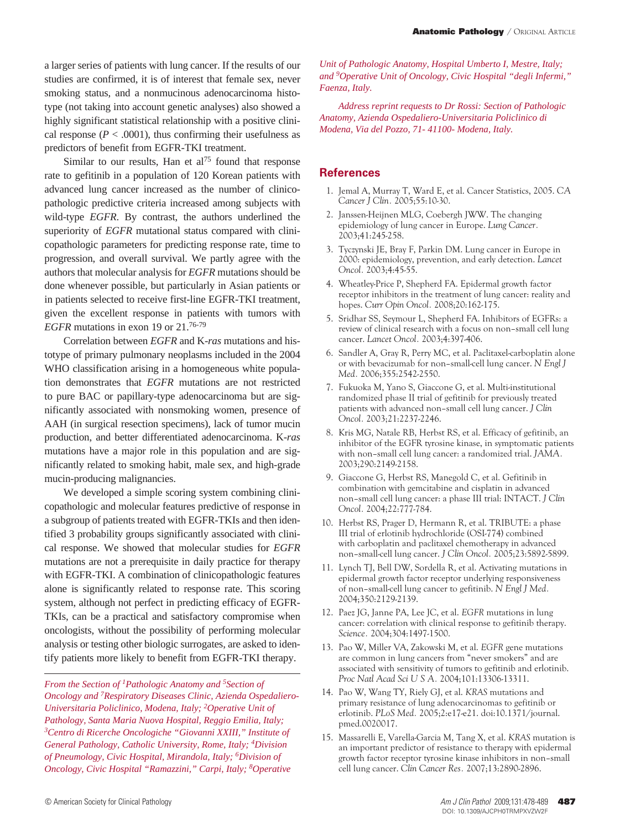a larger series of patients with lung cancer. If the results of our studies are confirmed, it is of interest that female sex, never smoking status, and a nonmucinous adenocarcinoma histotype (not taking into account genetic analyses) also showed a highly significant statistical relationship with a positive clinical response ( $P < .0001$ ), thus confirming their usefulness as predictors of benefit from EGFR-TKI treatment.

Similar to our results, Han et  $al^{75}$  found that response rate to gefitinib in a population of 120 Korean patients with advanced lung cancer increased as the number of clinicopathologic predictive criteria increased among subjects with wild-type *EGFR*. By contrast, the authors underlined the superiority of *EGFR* mutational status compared with clinicopathologic parameters for predicting response rate, time to progression, and overall survival. We partly agree with the authors that molecular analysis for *EGFR* mutations should be done whenever possible, but particularly in Asian patients or in patients selected to receive first-line EGFR-TKI treatment, given the excellent response in patients with tumors with *EGFR* mutations in exon 19 or 21.76-79

Correlation between *EGFR* and K-*ras* mutations and histotype of primary pulmonary neoplasms included in the 2004 WHO classification arising in a homogeneous white population demonstrates that *EGFR* mutations are not restricted to pure BAC or papillary-type adenocarcinoma but are significantly associated with nonsmoking women, presence of AAH (in surgical resection specimens), lack of tumor mucin production, and better differentiated adenocarcinoma. K-*ras* mutations have a major role in this population and are significantly related to smoking habit, male sex, and high-grade mucin-producing malignancies.

We developed a simple scoring system combining clinicopathologic and molecular features predictive of response in a subgroup of patients treated with EGFR-TKIs and then identified 3 probability groups significantly associated with clinical response. We showed that molecular studies for *EGFR* mutations are not a prerequisite in daily practice for therapy with EGFR-TKI. A combination of clinicopathologic features alone is significantly related to response rate. This scoring system, although not perfect in predicting efficacy of EGFR-TKIs, can be a practical and satisfactory compromise when oncologists, without the possibility of performing molecular analysis or testing other biologic surrogates, are asked to identify patients more likely to benefit from EGFR-TKI therapy.

*From the Section of 1Pathologic Anatomy and 5Section of Oncology and 7Respiratory Diseases Clinic, Azienda Ospedaliero-Universitaria Policlinico, Modena, Italy; 2Operative Unit of Pathology, Santa Maria Nuova Hospital, Reggio Emilia, Italy; 3Centro di Ricerche Oncologiche "Giovanni XXIII," Institute of General Pathology, Catholic University, Rome, Italy; 4Division of Pneumology, Civic Hospital, Mirandola, Italy; 6Division of Oncology, Civic Hospital "Ramazzini," Carpi, Italy; 8Operative* 

*Unit of Pathologic Anatomy, Hospital Umberto I, Mestre, Italy; and 9Operative Unit of Oncology, Civic Hospital "degli Infermi," Faenza, Italy.*

*Address reprint requests to Dr Rossi: Section of Pathologic Anatomy, Azienda Ospedaliero-Universitaria Policlinico di Modena, Via del Pozzo, 71- 41100- Modena, Italy.*

## **References**

- 1. Jemal A, Murray T, Ward E, et al. Cancer Statistics, 2005. *CA Cancer J Clin.* 2005;55:10-30.
- 2. Janssen-Heijnen MLG, Coebergh JWW. The changing epidemiology of lung cancer in Europe. *Lung Cancer.*  2003;41:245-258.
- 3. Tyczynski JE, Bray F, Parkin DM. Lung cancer in Europe in 2000: epidemiology, prevention, and early detection. *Lancet Oncol.* 2003;4:45-55.
- 4. Wheatley-Price P, Shepherd FA. Epidermal growth factor receptor inhibitors in the treatment of lung cancer: reality and hopes. *Curr Opin Oncol.* 2008;20:162-175.
- 5. Sridhar SS, Seymour L, Shepherd FA. Inhibitors of EGFRs: a review of clinical research with a focus on non–small cell lung cancer. *Lancet Oncol.* 2003;4:397-406.
- 6. Sandler A, Gray R, Perry MC, et al. Paclitaxel-carboplatin alone or with bevacizumab for non–small-cell lung cancer. *N Engl J Med.* 2006;355:2542-2550.
- 7. Fukuoka M, Yano S, Giaccone G, et al. Multi-institutional randomized phase II trial of gefitinib for previously treated patients with advanced non–small cell lung cancer. *J Clin Oncol.* 2003;21:2237-2246.
- 8. Kris MG, Natale RB, Herbst RS, et al. Efficacy of gefitinib, an inhibitor of the EGFR tyrosine kinase, in symptomatic patients with non–small cell lung cancer: a randomized trial. *JAMA.*  2003;290:2149-2158.
- 9. Giaccone G, Herbst RS, Manegold C, et al. Gefitinib in combination with gemcitabine and cisplatin in advanced non–small cell lung cancer: a phase III trial: INTACT. *J Clin Oncol.* 2004;22:777-784.
- 10. Herbst RS, Prager D, Hermann R, et al. TRIBUTE: a phase III trial of erlotinib hydrochloride (OSI-774) combined with carboplatin and paclitaxel chemotherapy in advanced non–small-cell lung cancer. *J Clin Oncol.* 2005;23:5892-5899.
- 11. Lynch TJ, Bell DW, Sordella R, et al. Activating mutations in epidermal growth factor receptor underlying responsiveness of non–small-cell lung cancer to gefitinib. *N Engl J Med.*  2004;350:2129-2139.
- 12. Paez JG, Janne PA, Lee JC, et al. *EGFR* mutations in lung cancer: correlation with clinical response to gefitinib therapy. *Science.* 2004;304:1497-1500.
- 13. Pao W, Miller VA, Zakowski M, et al. *EGFR* gene mutations are common in lung cancers from "never smokers" and are associated with sensitivity of tumors to gefitinib and erlotinib. *Proc Natl Acad Sci U S A.* 2004;101:13306-13311.
- 14. Pao W, Wang TY, Riely GJ, et al. *KRAS* mutations and primary resistance of lung adenocarcinomas to gefitinib or erlotinib. *PLoS Med.* 2005;2:e17-e21. doi:10.1371/journal. pmed.0020017.
- 15. Massarelli E, Varella-Garcia M, Tang X, et al. *KRAS* mutation is an important predictor of resistance to therapy with epidermal growth factor receptor tyrosine kinase inhibitors in non–small cell lung cancer. *Clin Cancer Res.* 2007;13:2890-2896.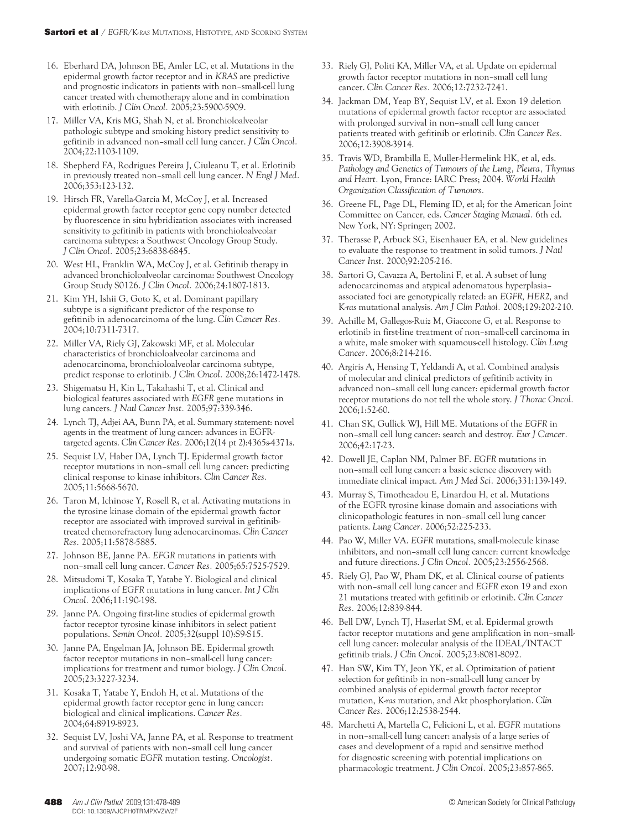- 16. Eberhard DA, Johnson BE, Amler LC, et al. Mutations in the epidermal growth factor receptor and in *KRAS* are predictive and prognostic indicators in patients with non–small-cell lung cancer treated with chemotherapy alone and in combination with erlotinib. *J Clin Oncol.* 2005;23:5900-5909.
- 17. Miller VA, Kris MG, Shah N, et al. Bronchioloalveolar pathologic subtype and smoking history predict sensitivity to gefitinib in advanced non–small cell lung cancer. *J Clin Oncol.*  2004;22:1103-1109.
- 18. Shepherd FA, Rodrigues Pereira J, Ciuleanu T, et al. Erlotinib in previously treated non–small cell lung cancer. *N Engl J Med.*  2006;353:123-132.
- 19. Hirsch FR, Varella-Garcia M, McCoy J, et al. Increased epidermal growth factor receptor gene copy number detected by fluorescence in situ hybridization associates with increased sensitivity to gefitinib in patients with bronchioloalveolar carcinoma subtypes: a Southwest Oncology Group Study. *J Clin Oncol.* 2005;23:6838-6845.
- 20. West HL, Franklin WA, McCoy J, et al. Gefitinib therapy in advanced bronchioloalveolar carcinoma: Southwest Oncology Group Study S0126. *J Clin Oncol.* 2006;24:1807-1813.
- 21. Kim YH, Ishii G, Goto K, et al. Dominant papillary subtype is a significant predictor of the response to gefitinib in adenocarcinoma of the lung. *Clin Cancer Res.*  2004;10:7311-7317.
- 22. Miller VA, Riely GJ, Zakowski MF, et al. Molecular characteristics of bronchioloalveolar carcinoma and adenocarcinoma, bronchioloalveolar carcinoma subtype, predict response to erlotinib. *J Clin Oncol.* 2008;26:1472-1478.
- 23. Shigematsu H, Kin L, Takahashi T, et al. Clinical and biological features associated with *EGFR* gene mutations in lung cancers. *J Natl Cancer Inst.* 2005;97:339-346.
- 24. Lynch TJ, Adjei AA, Bunn PA, et al. Summary statement: novel agents in the treatment of lung cancer: advances in EGFRtargeted agents. *Clin Cancer Res.* 2006;12(14 pt 2):4365s-4371s.
- 25. Sequist LV, Haber DA, Lynch TJ. Epidermal growth factor receptor mutations in non–small cell lung cancer: predicting clinical response to kinase inhibitors. *Clin Cancer Res.*  2005;11:5668-5670.
- 26. Taron M, Ichinose Y, Rosell R, et al. Activating mutations in the tyrosine kinase domain of the epidermal growth factor receptor are associated with improved survival in gefitinibtreated chemorefractory lung adenocarcinomas. *Clin Cancer Res.* 2005;11:5878-5885.
- 27. Johnson BE, Janne PA. *EFGR* mutations in patients with non–small cell lung cancer. *Cancer Res.* 2005;65:7525-7529.
- 28. Mitsudomi T, Kosaka T, Yatabe Y. Biological and clinical implications of *EGFR* mutations in lung cancer. *Int J Clin Oncol.* 2006;11:190-198.
- 29. Janne PA. Ongoing first-line studies of epidermal growth factor receptor tyrosine kinase inhibitors in select patient populations. *Semin Oncol.* 2005;32(suppl 10):S9-S15.
- 30. Janne PA, Engelman JA, Johnson BE. Epidermal growth factor receptor mutations in non–small-cell lung cancer: implications for treatment and tumor biology. *J Clin Oncol.*  2005;23:3227-3234.
- 31. Kosaka T, Yatabe Y, Endoh H, et al. Mutations of the epidermal growth factor receptor gene in lung cancer: biological and clinical implications. *Cancer Res.*  2004;64:8919-8923.
- 32. Sequist LV, Joshi VA, Janne PA, et al. Response to treatment and survival of patients with non–small cell lung cancer undergoing somatic *EGFR* mutation testing. *Oncologist.*  2007;12:90-98.
- 33. Riely GJ, Politi KA, Miller VA, et al. Update on epidermal growth factor receptor mutations in non–small cell lung cancer. *Clin Cancer Res.* 2006;12:7232-7241.
- 34. Jackman DM, Yeap BY, Sequist LV, et al. Exon 19 deletion mutations of epidermal growth factor receptor are associated with prolonged survival in non–small cell lung cancer patients treated with gefitinib or erlotinib. *Clin Cancer Res.*  2006;12:3908-3914.
- 35. Travis WD, Brambilla E, Muller-Hermelink HK, et al, eds. *Pathology and Genetics of Tumours of the Lung, Pleura, Thymus and Heart.* Lyon, France: IARC Press; 2004. *World Health Organization Classification of Tumours.*
- 36. Greene FL, Page DL, Fleming ID, et al; for the American Joint Committee on Cancer, eds. *Cancer Staging Manual.* 6th ed. New York, NY: Springer; 2002.
- 37. Therasse P, Arbuck SG, Eisenhauer EA, et al. New guidelines to evaluate the response to treatment in solid tumors. *J Natl Cancer Inst.* 2000;92:205-216.
- 38. Sartori G, Cavazza A, Bertolini F, et al. A subset of lung adenocarcinomas and atypical adenomatous hyperplasia– associated foci are genotypically related: an *EGFR, HER2,* and K-*ras* mutational analysis. *Am J Clin Pathol.* 2008;129:202-210.
- 39. Achille M, Gallegos-Ruiz M, Giaccone G, et al. Response to erlotinib in first-line treatment of non–small-cell carcinoma in a white, male smoker with squamous-cell histology. *Clin Lung Cancer.* 2006;8:214-216.
- 40. Argiris A, Hensing T, Yeldandi A, et al. Combined analysis of molecular and clinical predictors of gefitinib activity in advanced non–small cell lung cancer: epidermal growth factor receptor mutations do not tell the whole story. *J Thorac Oncol.*  2006;1:52-60.
- 41. Chan SK, Gullick WJ, Hill ME. Mutations of the *EGFR* in non–small cell lung cancer: search and destroy. *Eur J Cancer.*  2006;42:17-23.
- 42. Dowell JE, Caplan NM, Palmer BF. *EGFR* mutations in non–small cell lung cancer: a basic science discovery with immediate clinical impact. *Am J Med Sci.* 2006;331:139-149.
- 43. Murray S, Timotheadou E, Linardou H, et al. Mutations of the EGFR tyrosine kinase domain and associations with clinicopathologic features in non–small cell lung cancer patients. *Lung Cancer.* 2006;52:225-233.
- 44. Pao W, Miller VA. *EGFR* mutations, small-molecule kinase inhibitors, and non–small cell lung cancer: current knowledge and future directions. *J Clin Oncol.* 2005;23:2556-2568.
- 45. Riely GJ, Pao W, Pham DK, et al. Clinical course of patients with non–small cell lung cancer and *EGFR* exon 19 and exon 21 mutations treated with gefitinib or erlotinib. *Clin Cancer Res.* 2006;12:839-844.
- 46. Bell DW, Lynch TJ, Haserlat SM, et al. Epidermal growth factor receptor mutations and gene amplification in non–smallcell lung cancer: molecular analysis of the IDEAL/INTACT gefitinib trials. *J Clin Oncol.* 2005;23:8081-8092.
- 47. Han SW, Kim TY, Jeon YK, et al. Optimization of patient selection for gefitinib in non–small-cell lung cancer by combined analysis of epidermal growth factor receptor mutation, K-*ras* mutation, and Akt phosphorylation. *Clin Cancer Res.* 2006;12:2538-2544.
- 48. Marchetti A, Martella C, Felicioni L, et al. *EGFR* mutations in non–small-cell lung cancer: analysis of a large series of cases and development of a rapid and sensitive method for diagnostic screening with potential implications on pharmacologic treatment. *J Clin Oncol.* 2005;23:857-865.